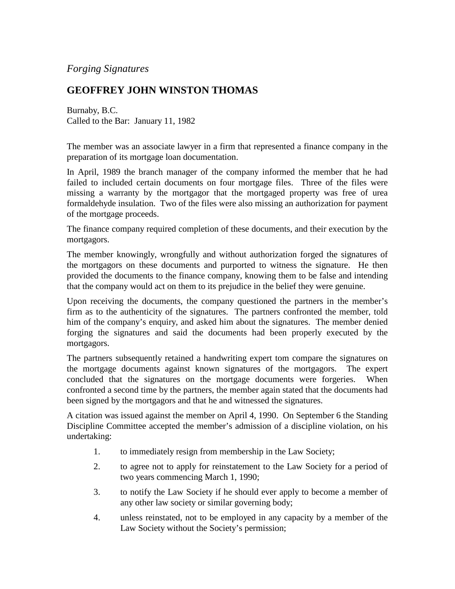## *Forging Signatures*

## **GEOFFREY JOHN WINSTON THOMAS**

Burnaby, B.C. Called to the Bar: January 11, 1982

The member was an associate lawyer in a firm that represented a finance company in the preparation of its mortgage loan documentation.

In April, 1989 the branch manager of the company informed the member that he had failed to included certain documents on four mortgage files. Three of the files were missing a warranty by the mortgagor that the mortgaged property was free of urea formaldehyde insulation. Two of the files were also missing an authorization for payment of the mortgage proceeds.

The finance company required completion of these documents, and their execution by the mortgagors.

The member knowingly, wrongfully and without authorization forged the signatures of the mortgagors on these documents and purported to witness the signature. He then provided the documents to the finance company, knowing them to be false and intending that the company would act on them to its prejudice in the belief they were genuine.

Upon receiving the documents, the company questioned the partners in the member's firm as to the authenticity of the signatures. The partners confronted the member, told him of the company's enquiry, and asked him about the signatures. The member denied forging the signatures and said the documents had been properly executed by the mortgagors.

The partners subsequently retained a handwriting expert tom compare the signatures on the mortgage documents against known signatures of the mortgagors. The expert concluded that the signatures on the mortgage documents were forgeries. When confronted a second time by the partners, the member again stated that the documents had been signed by the mortgagors and that he and witnessed the signatures.

A citation was issued against the member on April 4, 1990. On September 6 the Standing Discipline Committee accepted the member's admission of a discipline violation, on his undertaking:

- 1. to immediately resign from membership in the Law Society;
- 2. to agree not to apply for reinstatement to the Law Society for a period of two years commencing March 1, 1990;
- 3. to notify the Law Society if he should ever apply to become a member of any other law society or similar governing body;
- 4. unless reinstated, not to be employed in any capacity by a member of the Law Society without the Society's permission;